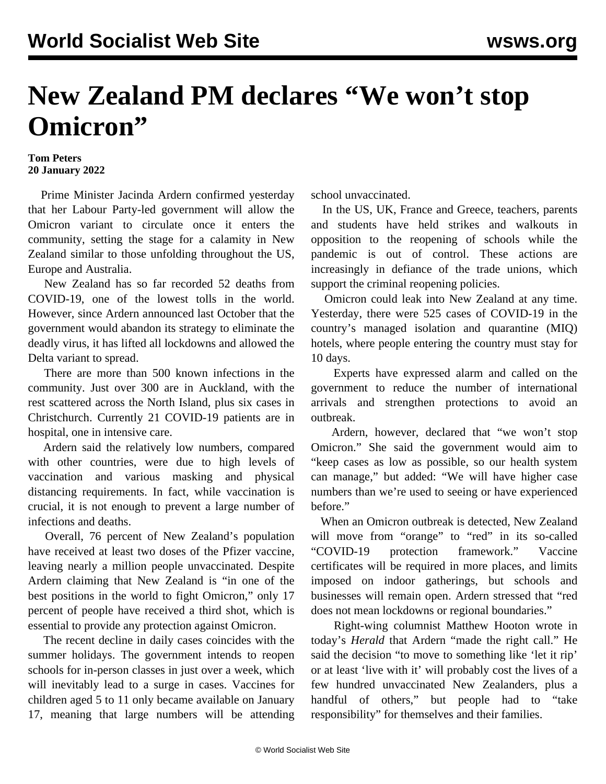## **New Zealand PM declares "We won't stop Omicron"**

## **Tom Peters 20 January 2022**

 Prime Minister Jacinda Ardern confirmed yesterday that her Labour Party-led government will allow the Omicron variant to circulate once it enters the community, setting the stage for a calamity in New Zealand similar to those unfolding throughout the US, Europe and Australia.

 New Zealand has so far recorded 52 deaths from COVID-19, one of the lowest tolls in the world. However, since Ardern announced last October that the government would abandon its strategy to eliminate the deadly virus, it has lifted all lockdowns and allowed the Delta variant to spread.

 There are more than 500 known infections in the community. Just over 300 are in Auckland, with the rest scattered across the North Island, plus six cases in Christchurch. Currently 21 COVID-19 patients are in hospital, one in intensive care.

 Ardern said the relatively low numbers, compared with other countries, were due to high levels of vaccination and various masking and physical distancing requirements. In fact, while vaccination is crucial, it is not enough to prevent a large number of infections and deaths.

 Overall, 76 percent of New Zealand's population have received at least two doses of the Pfizer vaccine, leaving nearly a million people unvaccinated. Despite Ardern claiming that New Zealand is "in one of the best positions in the world to fight Omicron," only 17 percent of people have received a third shot, which is essential to provide any protection against Omicron.

 The recent decline in daily cases coincides with the summer holidays. The government intends to reopen [schools](/en/articles/2022/01/10/nzsc-j10.html) for in-person classes in just over a week, which will inevitably lead to a surge in cases. Vaccines for children aged 5 to 11 only became available on January 17, meaning that large numbers will be attending school unvaccinated.

 In the US, UK, France and Greece, teachers, parents and students have held strikes and walkouts in opposition to the reopening of schools while the pandemic is out of control. These actions are increasingly in defiance of the trade unions, which support the criminal reopening policies.

 Omicron could leak into New Zealand at any time. Yesterday, there were 525 cases of COVID-19 in the country's managed isolation and quarantine (MIQ) hotels, where people entering the country must stay for 10 days.

 Experts have expressed [alarm](/en/articles/2022/01/13/nzsc-j13.html) and called on the government to reduce the number of international arrivals and strengthen protections to avoid an outbreak.

 Ardern, however, declared that "we won't stop Omicron." She said the government would aim to "keep cases as low as possible, so our health system can manage," but added: "We will have higher case numbers than we're used to seeing or have experienced before."

 When an Omicron outbreak is detected, New Zealand will move from "orange" to "red" in its so-called "COVID-19 protection framework." Vaccine certificates will be required in more places, and limits imposed on indoor gatherings, but schools and businesses will remain open. Ardern stressed that "red does not mean lockdowns or regional boundaries."

 Right-wing columnist Matthew Hooton wrote in today's *Herald* that Ardern "made the right call." He said the decision "to move to something like 'let it rip' or at least 'live with it' will probably cost the lives of a few hundred unvaccinated New Zealanders, plus a handful of others," but people had to "take responsibility" for themselves and their families.